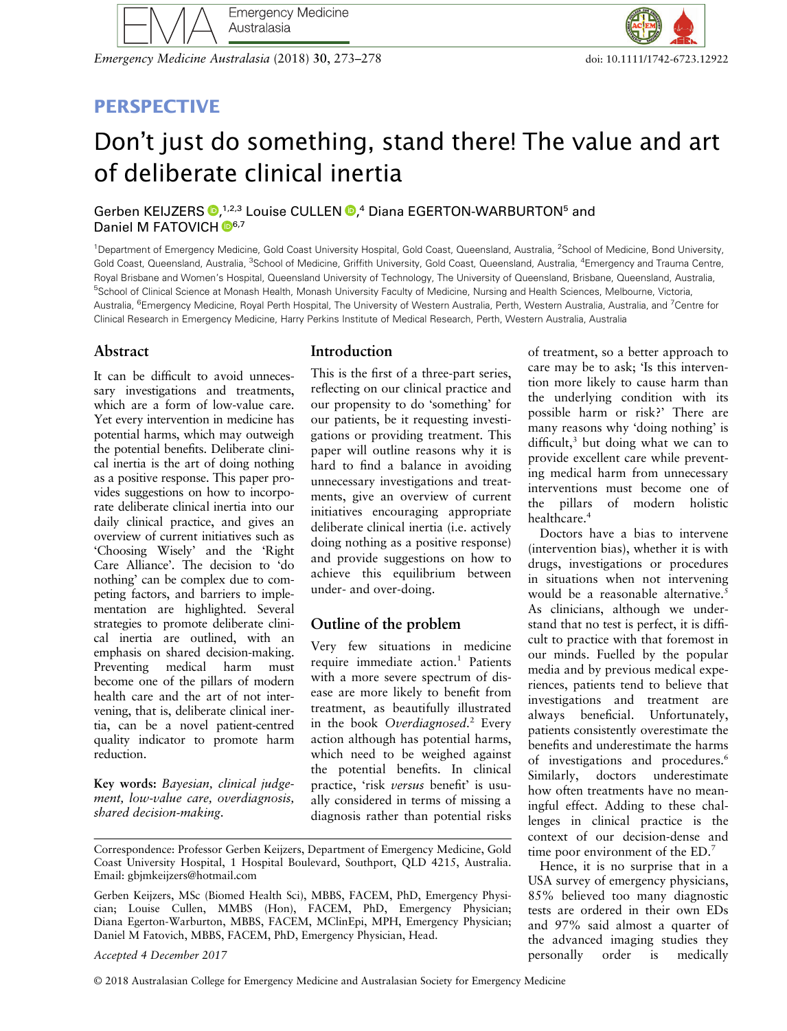

Emergency Medicine Australasia (2018) 30, 273–278 doi: 10.111/1742-6723.12922

# **PERSPECTIVE**

# Don't just do something, stand there! The value and art of deliberate clinical inertia

Gerben KEIJZERS <sup>(D[,](http://orcid.org/0000-0003-1100-4552) 1,2,3</sup> Louise CULLEN <sup>(D</sup>,<sup>4</sup> Diana EGERTON-WARBURTON<sup>5</sup> and Daniel M FATOVICH  $\mathbb{D}^{6,7}$ 

<sup>1</sup>Department of Emergency Medicine, Gold Coast University Hospital, Gold Coast, Queensland, Australia, <sup>2</sup>School of Medicine, Bond University, Gold Coast, Queensland, Australia, <sup>3</sup>School of Medicine, Griffith University, Gold Coast, Queensland, Australia, <sup>4</sup>Emergency and Trauma Centre, Royal Brisbane and Women's Hospital, Queensland University of Technology, The University of Queensland, Brisbane, Queensland, Australia, <sup>5</sup>School of Clinical Science at Monash Health, Monash University Faculty of Medicine, Nursing and Health Sciences, Melbourne, Victoria, Australia, <sup>6</sup>Emergency Medicine, Royal Perth Hospital, The University of Western Australia, Perth, Western Australia, Australia, and <sup>7</sup>Centre for Clinical Research in Emergency Medicine, Harry Perkins Institute of Medical Research, Perth, Western Australia, Australia

## Abstract

It can be difficult to avoid unnecessary investigations and treatments, which are a form of low-value care. Yet every intervention in medicine has potential harms, which may outweigh the potential benefits. Deliberate clinical inertia is the art of doing nothing as a positive response. This paper provides suggestions on how to incorporate deliberate clinical inertia into our daily clinical practice, and gives an overview of current initiatives such as 'Choosing Wisely' and the 'Right Care Alliance'. The decision to 'do nothing' can be complex due to competing factors, and barriers to implementation are highlighted. Several strategies to promote deliberate clinical inertia are outlined, with an emphasis on shared decision-making. Preventing medical harm must become one of the pillars of modern health care and the art of not intervening, that is, deliberate clinical inertia, can be a novel patient-centred quality indicator to promote harm reduction.

Key words: Bayesian, clinical judgement, low-value care, overdiagnosis, shared decision-making.

# **Introduction**

This is the first of a three-part series, reflecting on our clinical practice and our propensity to do 'something' for our patients, be it requesting investigations or providing treatment. This paper will outline reasons why it is hard to find a balance in avoiding unnecessary investigations and treatments, give an overview of current initiatives encouraging appropriate deliberate clinical inertia (i.e. actively doing nothing as a positive response) and provide suggestions on how to achieve this equilibrium between under- and over-doing.

# Outline of the problem

Very few situations in medicine require immediate  $\arctan^{-1}$  Patients with a more severe spectrum of disease are more likely to benefit from treatment, as beautifully illustrated in the book Overdiagnosed.<sup>2</sup> Every action although has potential harms, which need to be weighed against the potential benefits. In clinical practice, 'risk versus benefit' is usually considered in terms of missing a diagnosis rather than potential risks

#### Accepted 4 December 2017

© 2018 Australasian College for Emergency Medicine and Australasian Society for Emergency Medicine

of treatment, so a better approach to care may be to ask; 'Is this intervention more likely to cause harm than the underlying condition with its possible harm or risk?' There are many reasons why 'doing nothing' is difficult, $3$  but doing what we can to provide excellent care while preventing medical harm from unnecessary interventions must become one of the pillars of modern holistic healthcare.<sup>4</sup>

Doctors have a bias to intervene (intervention bias), whether it is with drugs, investigations or procedures in situations when not intervening would be a reasonable alternative.<sup>5</sup> As clinicians, although we understand that no test is perfect, it is difficult to practice with that foremost in our minds. Fuelled by the popular media and by previous medical experiences, patients tend to believe that investigations and treatment are always beneficial. Unfortunately, patients consistently overestimate the benefits and underestimate the harms of investigations and procedures.<sup>6</sup> Similarly, doctors underestimate how often treatments have no meaningful effect. Adding to these challenges in clinical practice is the context of our decision-dense and time poor environment of the ED.<sup>7</sup>

Hence, it is no surprise that in a USA survey of emergency physicians, 85% believed too many diagnostic tests are ordered in their own EDs and 97% said almost a quarter of the advanced imaging studies they personally order is medically

Correspondence: Professor Gerben Keijzers, Department of Emergency Medicine, Gold Coast University Hospital, 1 Hospital Boulevard, Southport, QLD 4215, Australia. Email: [gbjmkeijzers@hotmail.com](mailto:gbjmkeijzers@hotmail.com)

Gerben Keijzers, MSc (Biomed Health Sci), MBBS, FACEM, PhD, Emergency Physician; Louise Cullen, MMBS (Hon), FACEM, PhD, Emergency Physician; Diana Egerton-Warburton, MBBS, FACEM, MClinEpi, MPH, Emergency Physician; Daniel M Fatovich, MBBS, FACEM, PhD, Emergency Physician, Head.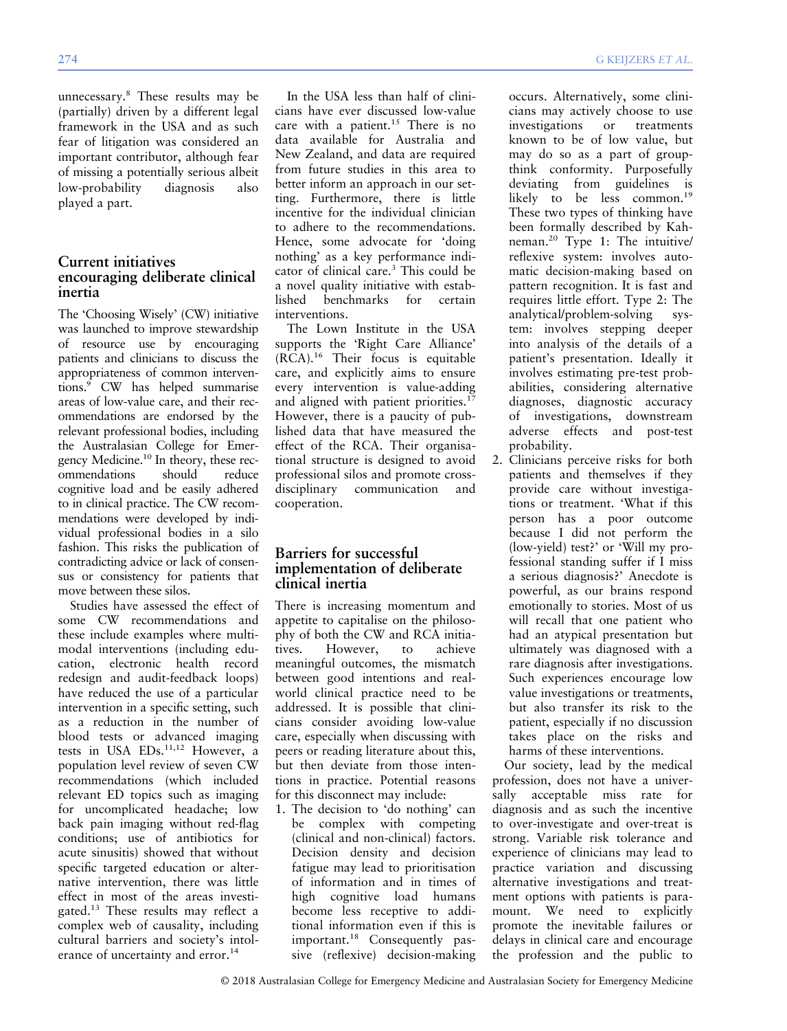unnecessary.<sup>8</sup> These results may be (partially) driven by a different legal framework in the USA and as such fear of litigation was considered an important contributor, although fear of missing a potentially serious albeit<br>low-probability diagnosis also low-probability diagnosis also played a part.

## Current initiatives encouraging deliberate clinical inertia

The 'Choosing Wisely' (CW) initiative was launched to improve stewardship of resource use by encouraging patients and clinicians to discuss the appropriateness of common interventions.<sup>9</sup> CW has helped summarise areas of low-value care, and their recommendations are endorsed by the relevant professional bodies, including the Australasian College for Emergency Medicine.10 In theory, these recommendations should reduce cognitive load and be easily adhered to in clinical practice. The CW recommendations were developed by individual professional bodies in a silo fashion. This risks the publication of contradicting advice or lack of consensus or consistency for patients that move between these silos.

Studies have assessed the effect of some CW recommendations and these include examples where multimodal interventions (including education, electronic health record redesign and audit-feedback loops) have reduced the use of a particular intervention in a specific setting, such as a reduction in the number of blood tests or advanced imaging tests in USA EDs.<sup>11,12</sup> However, a population level review of seven CW recommendations (which included relevant ED topics such as imaging for uncomplicated headache; low back pain imaging without red-flag conditions; use of antibiotics for acute sinusitis) showed that without specific targeted education or alternative intervention, there was little effect in most of the areas investigated.<sup>13</sup> These results may reflect a complex web of causality, including cultural barriers and society's intolerance of uncertainty and error.<sup>14</sup>

In the USA less than half of clinicians have ever discussed low-value care with a patient.<sup>15</sup> There is no data available for Australia and New Zealand, and data are required from future studies in this area to better inform an approach in our setting. Furthermore, there is little incentive for the individual clinician to adhere to the recommendations. Hence, some advocate for 'doing nothing' as a key performance indicator of clinical care.<sup>3</sup> This could be a novel quality initiative with established benchmarks for certain interventions.

The Lown Institute in the USA supports the 'Right Care Alliance' (RCA).<sup>16</sup> Their focus is equitable care, and explicitly aims to ensure every intervention is value-adding and aligned with patient priorities.<sup>17</sup> However, there is a paucity of published data that have measured the effect of the RCA. Their organisational structure is designed to avoid professional silos and promote crossdisciplinary communication and cooperation.

# Barriers for successful implementation of deliberate clinical inertia

There is increasing momentum and appetite to capitalise on the philosophy of both the CW and RCA initiatives. However, to achieve meaningful outcomes, the mismatch between good intentions and realworld clinical practice need to be addressed. It is possible that clinicians consider avoiding low-value care, especially when discussing with peers or reading literature about this, but then deviate from those intentions in practice. Potential reasons for this disconnect may include:

1. The decision to 'do nothing' can be complex with competing (clinical and non-clinical) factors. Decision density and decision fatigue may lead to prioritisation of information and in times of high cognitive load humans become less receptive to additional information even if this is important.<sup>18</sup> Consequently passive (reflexive) decision-making

occurs. Alternatively, some clinicians may actively choose to use investigations or treatments known to be of low value, but may do so as a part of groupthink conformity. Purposefully deviating from guidelines is likely to be less common.<sup>19</sup> These two types of thinking have been formally described by Kahneman.<sup>20</sup> Type 1: The intuitive/ reflexive system: involves automatic decision-making based on pattern recognition. It is fast and requires little effort. Type 2: The analytical/problem-solving system: involves stepping deeper into analysis of the details of a patient's presentation. Ideally it involves estimating pre-test probabilities, considering alternative diagnoses, diagnostic accuracy of investigations, downstream adverse effects and post-test probability.

2. Clinicians perceive risks for both patients and themselves if they provide care without investigations or treatment. 'What if this person has a poor outcome because I did not perform the (low-yield) test?' or 'Will my professional standing suffer if I miss a serious diagnosis?' Anecdote is powerful, as our brains respond emotionally to stories. Most of us will recall that one patient who had an atypical presentation but ultimately was diagnosed with a rare diagnosis after investigations. Such experiences encourage low value investigations or treatments, but also transfer its risk to the patient, especially if no discussion takes place on the risks and harms of these interventions.

Our society, lead by the medical profession, does not have a universally acceptable miss rate for diagnosis and as such the incentive to over-investigate and over-treat is strong. Variable risk tolerance and experience of clinicians may lead to practice variation and discussing alternative investigations and treatment options with patients is paramount. We need to explicitly promote the inevitable failures or delays in clinical care and encourage the profession and the public to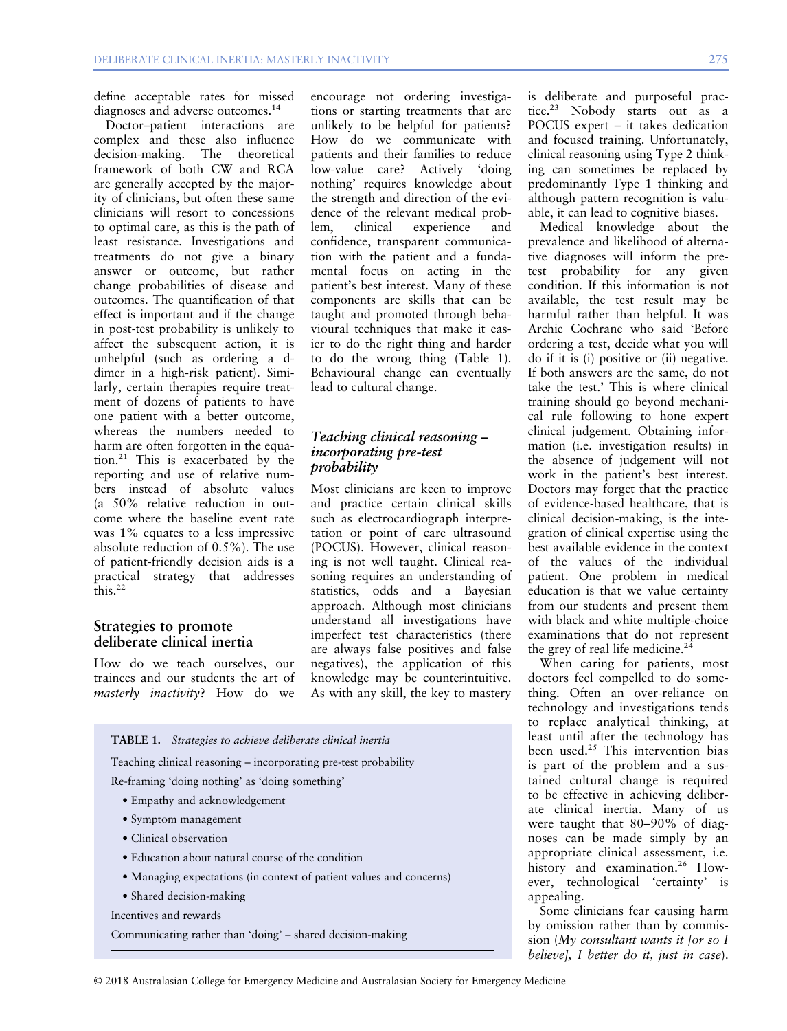define acceptable rates for missed diagnoses and adverse outcomes.<sup>14</sup>

Doctor–patient interactions are complex and these also influence decision-making. The theoretical framework of both CW and RCA are generally accepted by the majority of clinicians, but often these same clinicians will resort to concessions to optimal care, as this is the path of least resistance. Investigations and treatments do not give a binary answer or outcome, but rather change probabilities of disease and outcomes. The quantification of that effect is important and if the change in post-test probability is unlikely to affect the subsequent action, it is unhelpful (such as ordering a ddimer in a high-risk patient). Similarly, certain therapies require treatment of dozens of patients to have one patient with a better outcome, whereas the numbers needed to harm are often forgotten in the equation.<sup>21</sup> This is exacerbated by the reporting and use of relative numbers instead of absolute values (a 50% relative reduction in outcome where the baseline event rate was 1% equates to a less impressive absolute reduction of 0.5%). The use of patient-friendly decision aids is a practical strategy that addresses  $\text{this}$ <sup>22</sup>

#### Strategies to promote deliberate clinical inertia

How do we teach ourselves, our trainees and our students the art of masterly inactivity? How do we

encourage not ordering investigations or starting treatments that are unlikely to be helpful for patients? How do we communicate with patients and their families to reduce low-value care? Actively 'doing nothing' requires knowledge about the strength and direction of the evidence of the relevant medical prob-<br>lem. clinical experience and lem, clinical experience and confidence, transparent communication with the patient and a fundamental focus on acting in the patient's best interest. Many of these components are skills that can be taught and promoted through behavioural techniques that make it easier to do the right thing and harder to do the wrong thing (Table 1). Behavioural change can eventually lead to cultural change.

## Teaching clinical reasoning – incorporating pre-test probability

Most clinicians are keen to improve and practice certain clinical skills such as electrocardiograph interpretation or point of care ultrasound (POCUS). However, clinical reasoning is not well taught. Clinical reasoning requires an understanding of statistics, odds and a Bayesian approach. Although most clinicians understand all investigations have imperfect test characteristics (there are always false positives and false negatives), the application of this knowledge may be counterintuitive. As with any skill, the key to mastery

| <b>TABLE 1.</b> Strategies to achieve deliberate clinical inertia   |
|---------------------------------------------------------------------|
| Teaching clinical reasoning - incorporating pre-test probability    |
| Re-framing 'doing nothing' as 'doing something'                     |
| • Empathy and acknowledgement                                       |
| • Symptom management                                                |
| • Clinical observation                                              |
| • Education about natural course of the condition                   |
| • Managing expectations (in context of patient values and concerns) |
| • Shared decision-making                                            |
| Incentives and rewards                                              |
| Communicating rather than 'doing' – shared decision-making          |
|                                                                     |

is deliberate and purposeful practice.<sup>23</sup> Nobody starts out as a POCUS expert – it takes dedication and focused training. Unfortunately, clinical reasoning using Type 2 thinking can sometimes be replaced by predominantly Type 1 thinking and although pattern recognition is valuable, it can lead to cognitive biases.

Medical knowledge about the prevalence and likelihood of alternative diagnoses will inform the pretest probability for any given condition. If this information is not available, the test result may be harmful rather than helpful. It was Archie Cochrane who said 'Before ordering a test, decide what you will do if it is (i) positive or (ii) negative. If both answers are the same, do not take the test.' This is where clinical training should go beyond mechanical rule following to hone expert clinical judgement. Obtaining information (i.e. investigation results) in the absence of judgement will not work in the patient's best interest. Doctors may forget that the practice of evidence-based healthcare, that is clinical decision-making, is the integration of clinical expertise using the best available evidence in the context of the values of the individual patient. One problem in medical education is that we value certainty from our students and present them with black and white multiple-choice examinations that do not represent the grey of real life medicine.<sup>24</sup>

When caring for patients, most doctors feel compelled to do something. Often an over-reliance on technology and investigations tends to replace analytical thinking, at least until after the technology has been used.<sup>25</sup> This intervention bias is part of the problem and a sustained cultural change is required to be effective in achieving deliberate clinical inertia. Many of us were taught that 80–90% of diagnoses can be made simply by an appropriate clinical assessment, i.e. history and examination.<sup>26</sup> However, technological 'certainty' is appealing.

Some clinicians fear causing harm by omission rather than by commission (My consultant wants it [or so I believel, I better do it, just in case).

© 2018 Australasian College for Emergency Medicine and Australasian Society for Emergency Medicine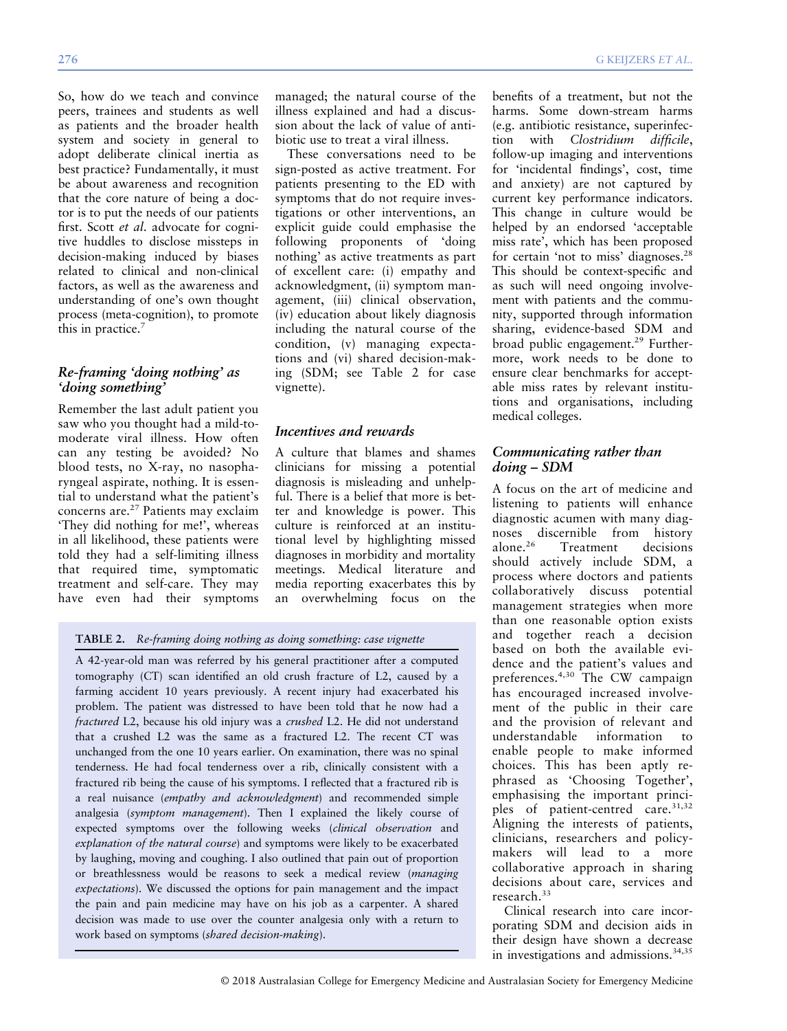So, how do we teach and convince peers, trainees and students as well as patients and the broader health system and society in general to adopt deliberate clinical inertia as best practice? Fundamentally, it must be about awareness and recognition that the core nature of being a doctor is to put the needs of our patients first. Scott et al. advocate for cognitive huddles to disclose missteps in decision-making induced by biases related to clinical and non-clinical factors, as well as the awareness and understanding of one's own thought process (meta-cognition), to promote this in practice.<sup>7</sup>

#### Re-framing 'doing nothing' as 'doing something'

Remember the last adult patient you saw who you thought had a mild-tomoderate viral illness. How often can any testing be avoided? No blood tests, no X-ray, no nasopharyngeal aspirate, nothing. It is essential to understand what the patient's concerns are.<sup>27</sup> Patients may exclaim 'They did nothing for me!', whereas in all likelihood, these patients were told they had a self-limiting illness that required time, symptomatic treatment and self-care. They may have even had their symptoms

managed; the natural course of the illness explained and had a discussion about the lack of value of antibiotic use to treat a viral illness.

These conversations need to be sign-posted as active treatment. For patients presenting to the ED with symptoms that do not require investigations or other interventions, an explicit guide could emphasise the following proponents of 'doing nothing' as active treatments as part of excellent care: (i) empathy and acknowledgment, (ii) symptom management, (iii) clinical observation, (iv) education about likely diagnosis including the natural course of the condition, (v) managing expectations and (vi) shared decision-making (SDM; see Table 2 for case vignette).

# Incentives and rewards

A culture that blames and shames clinicians for missing a potential diagnosis is misleading and unhelpful. There is a belief that more is better and knowledge is power. This culture is reinforced at an institutional level by highlighting missed diagnoses in morbidity and mortality meetings. Medical literature and media reporting exacerbates this by an overwhelming focus on the

#### TABLE 2. Re-framing doing nothing as doing something: case vignette

A 42-year-old man was referred by his general practitioner after a computed tomography (CT) scan identified an old crush fracture of L2, caused by a farming accident 10 years previously. A recent injury had exacerbated his problem. The patient was distressed to have been told that he now had a fractured L2, because his old injury was a crushed L2. He did not understand that a crushed L2 was the same as a fractured L2. The recent CT was unchanged from the one 10 years earlier. On examination, there was no spinal tenderness. He had focal tenderness over a rib, clinically consistent with a fractured rib being the cause of his symptoms. I reflected that a fractured rib is a real nuisance (empathy and acknowledgment) and recommended simple analgesia (symptom management). Then I explained the likely course of expected symptoms over the following weeks (clinical observation and explanation of the natural course) and symptoms were likely to be exacerbated by laughing, moving and coughing. I also outlined that pain out of proportion or breathlessness would be reasons to seek a medical review (managing expectations). We discussed the options for pain management and the impact the pain and pain medicine may have on his job as a carpenter. A shared decision was made to use over the counter analgesia only with a return to work based on symptoms (shared decision-making).

benefits of a treatment, but not the harms. Some down-stream harms (e.g. antibiotic resistance, superinfection with Clostridium difficile, follow-up imaging and interventions for 'incidental findings', cost, time and anxiety) are not captured by current key performance indicators. This change in culture would be helped by an endorsed 'acceptable miss rate', which has been proposed for certain 'not to miss' diagnoses.<sup>28</sup> This should be context-specific and as such will need ongoing involvement with patients and the community, supported through information sharing, evidence-based SDM and broad public engagement.<sup>29</sup> Furthermore, work needs to be done to ensure clear benchmarks for acceptable miss rates by relevant institutions and organisations, including medical colleges.

#### Communicating rather than doing – SDM

A focus on the art of medicine and listening to patients will enhance diagnostic acumen with many diagnoses discernible from history<br>alone.<sup>26</sup> Treatment decisions Treatment decisions should actively include SDM, a process where doctors and patients collaboratively discuss potential management strategies when more than one reasonable option exists and together reach a decision based on both the available evidence and the patient's values and preferences.4,30 The CW campaign has encouraged increased involvement of the public in their care and the provision of relevant and understandable information to enable people to make informed choices. This has been aptly rephrased as 'Choosing Together', emphasising the important principles of patient-centred care.<sup>31,32</sup> Aligning the interests of patients, clinicians, researchers and policymakers will lead to a more collaborative approach in sharing decisions about care, services and research.<sup>33</sup>

Clinical research into care incorporating SDM and decision aids in their design have shown a decrease in investigations and admissions.<sup>34,35</sup>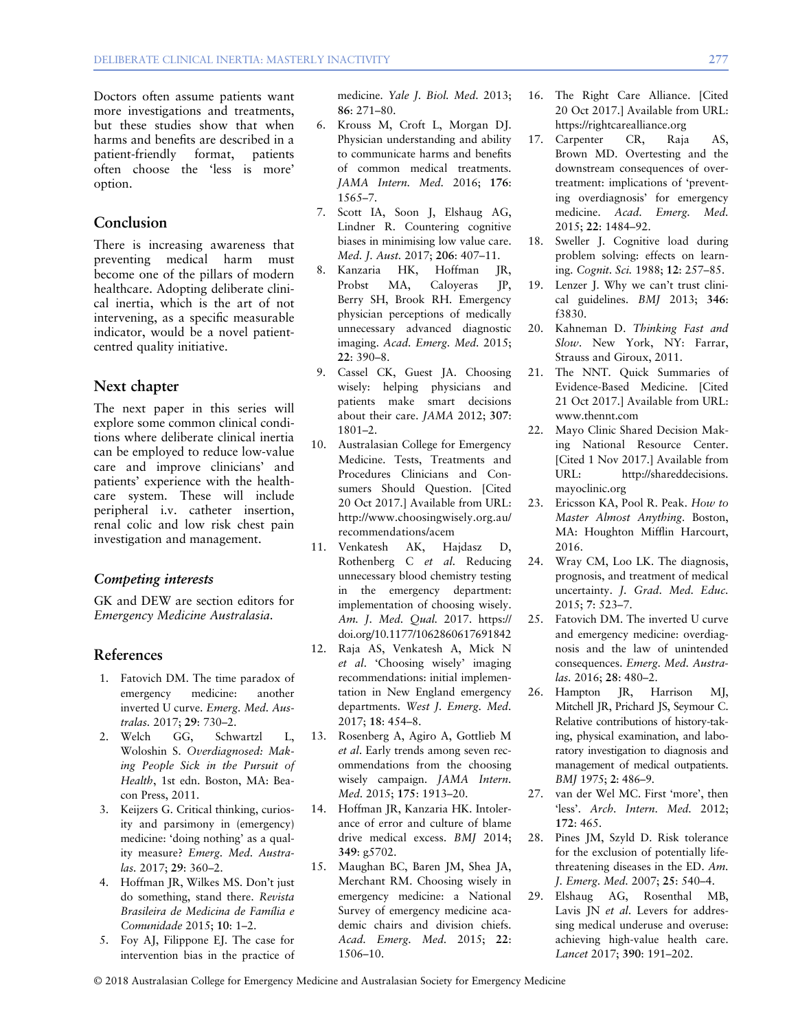Doctors often assume patients want more investigations and treatments, but these studies show that when harms and benefits are described in a patient-friendly format, patients often choose the 'less is more' option.

#### Conclusion

There is increasing awareness that preventing medical harm must become one of the pillars of modern healthcare. Adopting deliberate clinical inertia, which is the art of not intervening, as a specific measurable indicator, would be a novel patientcentred quality initiative.

#### Next chapter

The next paper in this series will explore some common clinical conditions where deliberate clinical inertia can be employed to reduce low-value care and improve clinicians' and patients' experience with the healthcare system. These will include peripheral i.v. catheter insertion, renal colic and low risk chest pain investigation and management.

#### Competing interests

GK and DEW are section editors for Emergency Medicine Australasia.

#### References

- 1. Fatovich DM. The time paradox of emergency medicine: another inverted U curve. Emerg. Med. Australas. 2017; 29: 730–2.
- 2. Welch GG, Schwartzl L, Woloshin S. Overdiagnosed: Making People Sick in the Pursuit of Health, 1st edn. Boston, MA: Beacon Press, 2011.
- 3. Keijzers G. Critical thinking, curiosity and parsimony in (emergency) medicine: 'doing nothing' as a quality measure? Emerg. Med. Australas. 2017; 29: 360–2.
- 4. Hoffman JR, Wilkes MS. Don't just do something, stand there. Revista Brasileira de Medicina de Família e Comunidade 2015; 10: 1–2.
- 5. Foy AJ, Filippone EJ. The case for intervention bias in the practice of

medicine. Yale J. Biol. Med. 2013; 86: 271–80.

- 6. Krouss M, Croft L, Morgan DJ. Physician understanding and ability to communicate harms and benefits of common medical treatments. JAMA Intern. Med. 2016; 176: 1565–7.
- 7. Scott IA, Soon J, Elshaug AG, Lindner R. Countering cognitive biases in minimising low value care. Med. J. Aust. 2017; 206: 407–11.
- 8. Kanzaria HK, Hoffman JR, Probst MA, Caloyeras JP, Berry SH, Brook RH. Emergency physician perceptions of medically unnecessary advanced diagnostic imaging. Acad. Emerg. Med. 2015; 22: 390–8.
- 9. Cassel CK, Guest JA. Choosing wisely: helping physicians and patients make smart decisions about their care. JAMA 2012; 307: 1801–2.
- 10. Australasian College for Emergency Medicine. Tests, Treatments and Procedures Clinicians and Consumers Should Question. [Cited 20 Oct 2017.] Available from URL: [http://www.choosingwisely.org.au/](http://www.choosingwisely.org.au/recommendations/acem) [recommendations/acem](http://www.choosingwisely.org.au/recommendations/acem)
- 11. Venkatesh AK, Hajdasz D, Rothenberg C et al. Reducing unnecessary blood chemistry testing in the emergency department: implementation of choosing wisely. Am. J. Med. Qual. 2017. [https://](https://doi.org/10.1177/1062860617691842) [doi.org/10.1177/1062860617691842](https://doi.org/10.1177/1062860617691842)
- 12. Raja AS, Venkatesh A, Mick N et al. 'Choosing wisely' imaging recommendations: initial implementation in New England emergency departments. West J. Emerg. Med. 2017; 18: 454–8.
- 13. Rosenberg A, Agiro A, Gottlieb M et al. Early trends among seven recommendations from the choosing wisely campaign. JAMA Intern. Med. 2015; 175: 1913–20.
- 14. Hoffman JR, Kanzaria HK. Intolerance of error and culture of blame drive medical excess. BMJ 2014; 349: g5702.
- 15. Maughan BC, Baren JM, Shea JA, Merchant RM. Choosing wisely in emergency medicine: a National Survey of emergency medicine academic chairs and division chiefs. Acad. Emerg. Med. 2015; 22: 1506–10.
- 16. The Right Care Alliance. [Cited 20 Oct 2017.] Available from URL: <https://rightcarealliance.org>
- 17. Carpenter CR, Raja AS, Brown MD. Overtesting and the downstream consequences of overtreatment: implications of 'preventing overdiagnosis' for emergency medicine. Acad. Emerg. Med. 2015; 22: 1484–92.
- 18. Sweller J. Cognitive load during problem solving: effects on learning. Cognit. Sci. 1988; 12: 257–85.
- 19. Lenzer J. Why we can't trust clinical guidelines. BMJ 2013; 346: f3830.
- 20. Kahneman D. Thinking Fast and Slow. New York, NY: Farrar, Strauss and Giroux, 2011.
- 21. The NNT. Quick Summaries of Evidence-Based Medicine. [Cited 21 Oct 2017.] Available from URL: [www.thennt.com](http://www.thennt.com)
- 22. Mayo Clinic Shared Decision Making National Resource Center. [Cited 1 Nov 2017.] Available from URL: [http://shareddecisions.](http://shareddecisions.mayoclinic.org) [mayoclinic.org](http://shareddecisions.mayoclinic.org)
- 23. Ericsson KA, Pool R. Peak. How to Master Almost Anything. Boston, MA: Houghton Mifflin Harcourt, 2016.
- 24. Wray CM, Loo LK. The diagnosis, prognosis, and treatment of medical uncertainty. J. Grad. Med. Educ. 2015; 7: 523–7.
- 25. Fatovich DM. The inverted U curve and emergency medicine: overdiagnosis and the law of unintended consequences. Emerg. Med. Australas. 2016; 28: 480–2.
- 26. Hampton JR, Harrison MJ, Mitchell JR, Prichard JS, Seymour C. Relative contributions of history-taking, physical examination, and laboratory investigation to diagnosis and management of medical outpatients. BMJ 1975; 2: 486–9.
- 27. van der Wel MC. First 'more', then 'less'. Arch. Intern. Med. 2012; 172: 465.
- 28. Pines JM, Szyld D. Risk tolerance for the exclusion of potentially lifethreatening diseases in the ED. Am. J. Emerg. Med. 2007; 25: 540–4.
- 29. Elshaug AG, Rosenthal MB, Lavis JN et al. Levers for addressing medical underuse and overuse: achieving high-value health care. Lancet 2017; 390: 191–202.

© 2018 Australasian College for Emergency Medicine and Australasian Society for Emergency Medicine